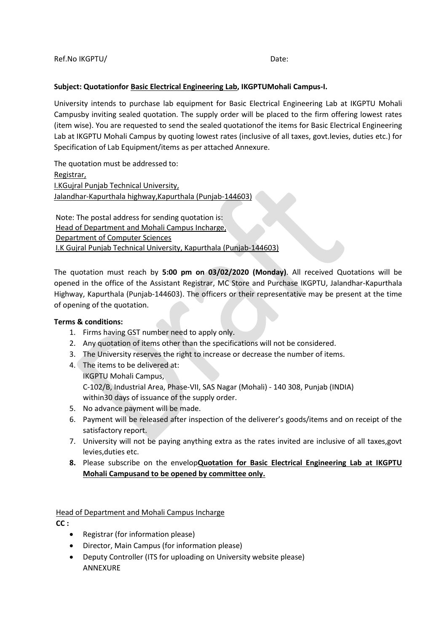## **Subject: Quotationfor Basic Electrical Engineering Lab, IKGPTUMohali Campus-I.**

University intends to purchase lab equipment for Basic Electrical Engineering Lab at IKGPTU Mohali Campusby inviting sealed quotation. The supply order will be placed to the firm offering lowest rates (item wise). You are requested to send the sealed quotationof the items for Basic Electrical Engineering Lab at IKGPTU Mohali Campus by quoting lowest rates (inclusive of all taxes, govt.levies, duties etc.) for Specification of Lab Equipment/items as per attached Annexure.

The quotation must be addressed to: Registrar, I.KGujral Punjab Technical University, Jalandhar-Kapurthala highway,Kapurthala (Punjab-144603)

Note: The postal address for sending quotation is: Head of Department and Mohali Campus Incharge, Department of Computer Sciences I.K Gujral Punjab Technical University, Kapurthala (Punjab-144603)

The quotation must reach by **5:00 pm on 03/02/2020 (Monday)**. All received Quotations will be opened in the office of the Assistant Registrar, MC Store and Purchase IKGPTU, Jalandhar-Kapurthala Highway, Kapurthala (Punjab-144603). The officers or their representative may be present at the time of opening of the quotation.

## **Terms & conditions:**

- 1. Firms having GST number need to apply only.
- 2. Any quotation of items other than the specifications will not be considered.
- 3. The University reserves the right to increase or decrease the number of items.
- 4. The items to be delivered at: IKGPTU Mohali Campus, C-102/B, Industrial Area, Phase-VII, SAS Nagar (Mohali) - 140 308, Punjab (INDIA) within30 days of issuance of the supply order.
- 5. No advance payment will be made.
- 6. Payment will be released after inspection of the deliverer's goods/items and on receipt of the satisfactory report.
- 7. University will not be paying anything extra as the rates invited are inclusive of all taxes,govt levies,duties etc.
- **8.** Please subscribe on the envelop**Quotation for Basic Electrical Engineering Lab at IKGPTU Mohali Campusand to be opened by committee only.**

Head of Department and Mohali Campus Incharge

**CC :**

- Registrar (for information please)
- Director, Main Campus (for information please)
- Deputy Controller (ITS for uploading on University website please) ANNEXURE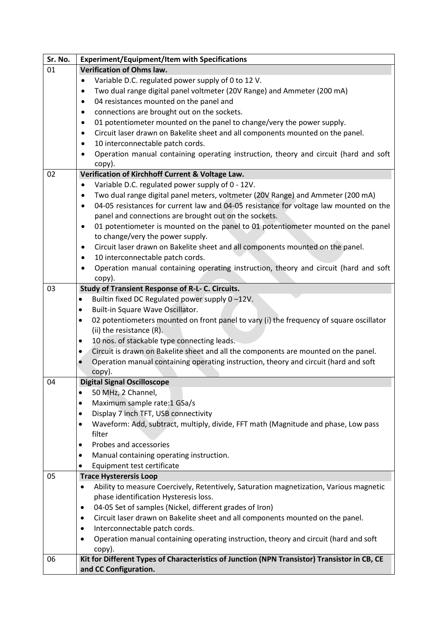| Sr. No. | <b>Experiment/Equipment/Item with Specifications</b>                                                 |
|---------|------------------------------------------------------------------------------------------------------|
| 01      | Verification of Ohms law.                                                                            |
|         | Variable D.C. regulated power supply of 0 to 12 V.                                                   |
|         | Two dual range digital panel voltmeter (20V Range) and Ammeter (200 mA)                              |
|         | 04 resistances mounted on the panel and<br>$\bullet$                                                 |
|         | connections are brought out on the sockets.<br>$\bullet$                                             |
|         | 01 potentiometer mounted on the panel to change/very the power supply.<br>٠                          |
|         | Circuit laser drawn on Bakelite sheet and all components mounted on the panel.<br>$\bullet$          |
|         | 10 interconnectable patch cords.<br>$\bullet$                                                        |
|         | Operation manual containing operating instruction, theory and circuit (hard and soft<br>$\bullet$    |
|         |                                                                                                      |
| 02      | copy).<br>Verification of Kirchhoff Current & Voltage Law.                                           |
|         | Variable D.C. regulated power supply of 0 - 12V.                                                     |
|         |                                                                                                      |
|         | Two dual range digital panel meters, voltmeter (20V Range) and Ammeter (200 mA)<br>$\bullet$         |
|         | 04-05 resistances for current law and 04-05 resistance for voltage law mounted on the<br>$\bullet$   |
|         | panel and connections are brought out on the sockets.                                                |
|         | 01 potentiometer is mounted on the panel to 01 potentiometer mounted on the panel<br>$\bullet$       |
|         | to change/very the power supply.                                                                     |
|         | Circuit laser drawn on Bakelite sheet and all components mounted on the panel.<br>$\bullet$          |
|         | 10 interconnectable patch cords.<br>$\bullet$                                                        |
|         | Operation manual containing operating instruction, theory and circuit (hard and soft<br>$\bullet$    |
|         | copy).                                                                                               |
| 03      | Study of Transient Response of R-L- C. Circuits.                                                     |
|         | Builtin fixed DC Regulated power supply 0-12V.<br>$\bullet$                                          |
|         | Built-in Square Wave Oscillator.<br>$\bullet$                                                        |
|         | 02 potentiometers mounted on front panel to vary (i) the frequency of square oscillator<br>$\bullet$ |
|         | (ii) the resistance (R).                                                                             |
|         | 10 nos. of stackable type connecting leads.<br>$\bullet$                                             |
|         | Circuit is drawn on Bakelite sheet and all the components are mounted on the panel.<br>$\bullet$     |
|         | Operation manual containing operating instruction, theory and circuit (hard and soft<br>$\bullet$    |
|         | copy).                                                                                               |
| 04      | <b>Digital Signal Oscilloscope</b>                                                                   |
|         | 50 MHz, 2 Channel,                                                                                   |
|         | Maximum sample rate: 1 GSa/s<br>٠                                                                    |
|         | Display 7 inch TFT, USB connectivity<br>٠                                                            |
|         | Waveform: Add, subtract, multiply, divide, FFT math (Magnitude and phase, Low pass<br>٠              |
|         | filter                                                                                               |
|         | Probes and accessories<br>٠                                                                          |
|         | Manual containing operating instruction.<br>٠                                                        |
|         | Equipment test certificate<br>٠                                                                      |
| 05      | <b>Trace Hysterersis Loop</b>                                                                        |
|         | Ability to measure Coercively, Retentively, Saturation magnetization, Various magnetic               |
|         | phase identification Hysteresis loss.                                                                |
|         | 04-05 Set of samples (Nickel, different grades of Iron)<br>٠                                         |
|         | Circuit laser drawn on Bakelite sheet and all components mounted on the panel.<br>٠                  |
|         | Interconnectable patch cords.<br>٠                                                                   |
|         | Operation manual containing operating instruction, theory and circuit (hard and soft<br>$\bullet$    |
|         | copy).                                                                                               |
| 06      | Kit for Different Types of Characteristics of Junction (NPN Transistor) Transistor in CB, CE         |
|         | and CC Configuration.                                                                                |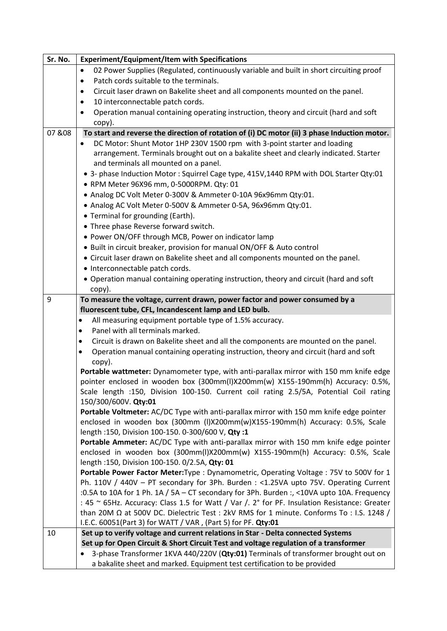| Sr. No. | <b>Experiment/Equipment/Item with Specifications</b>                                                                                                                            |
|---------|---------------------------------------------------------------------------------------------------------------------------------------------------------------------------------|
|         | 02 Power Supplies (Regulated, continuously variable and built in short circuiting proof<br>$\bullet$                                                                            |
|         | Patch cords suitable to the terminals.<br>$\bullet$                                                                                                                             |
|         | Circuit laser drawn on Bakelite sheet and all components mounted on the panel.<br>$\bullet$                                                                                     |
|         | 10 interconnectable patch cords.<br>$\bullet$                                                                                                                                   |
|         | Operation manual containing operating instruction, theory and circuit (hard and soft<br>$\bullet$                                                                               |
|         | copy).                                                                                                                                                                          |
| 07 & 08 | To start and reverse the direction of rotation of (i) DC motor (ii) 3 phase Induction motor.                                                                                    |
|         | DC Motor: Shunt Motor 1HP 230V 1500 rpm with 3-point starter and loading                                                                                                        |
|         | arrangement. Terminals brought out on a bakalite sheet and clearly indicated. Starter                                                                                           |
|         | and terminals all mounted on a panel.                                                                                                                                           |
|         | • 3- phase Induction Motor: Squirrel Cage type, 415V,1440 RPM with DOL Starter Qty:01                                                                                           |
|         | · RPM Meter 96X96 mm, 0-5000RPM. Qty: 01                                                                                                                                        |
|         | • Analog DC Volt Meter 0-300V & Ammeter 0-10A 96x96mm Qty:01.                                                                                                                   |
|         | • Analog AC Volt Meter 0-500V & Ammeter 0-5A, 96x96mm Qty:01.                                                                                                                   |
|         | • Terminal for grounding (Earth).                                                                                                                                               |
|         | • Three phase Reverse forward switch.                                                                                                                                           |
|         | • Power ON/OFF through MCB, Power on indicator lamp                                                                                                                             |
|         | • Built in circuit breaker, provision for manual ON/OFF & Auto control                                                                                                          |
|         | • Circuit laser drawn on Bakelite sheet and all components mounted on the panel.                                                                                                |
|         | • Interconnectable patch cords.                                                                                                                                                 |
|         | • Operation manual containing operating instruction, theory and circuit (hard and soft                                                                                          |
|         | copy).                                                                                                                                                                          |
| 9       | To measure the voltage, current drawn, power factor and power consumed by a                                                                                                     |
|         | fluorescent tube, CFL, Incandescent lamp and LED bulb.                                                                                                                          |
|         | All measuring equipment portable type of 1.5% accuracy.<br>٠                                                                                                                    |
|         | Panel with all terminals marked.<br>$\bullet$                                                                                                                                   |
|         | Circuit is drawn on Bakelite sheet and all the components are mounted on the panel.<br>$\bullet$                                                                                |
|         | Operation manual containing operating instruction, theory and circuit (hard and soft<br>$\bullet$                                                                               |
|         | copy).                                                                                                                                                                          |
|         | Portable wattmeter: Dynamometer type, with anti-parallax mirror with 150 mm knife edge                                                                                          |
|         | pointer enclosed in wooden box (300mm(I)X200mm(w) X155-190mm(h) Accuracy: 0.5%,                                                                                                 |
|         | Scale length :150, Division 100-150. Current coil rating 2.5/5A, Potential Coil rating                                                                                          |
|         | 150/300/600V. Qty:01                                                                                                                                                            |
|         | Portable Voltmeter: AC/DC Type with anti-parallax mirror with 150 mm knife edge pointer                                                                                         |
|         | enclosed in wooden box (300mm (I)X200mm(w)X155-190mm(h) Accuracy: 0.5%, Scale                                                                                                   |
|         | length :150, Division 100-150. 0-300/600 V, Qty :1                                                                                                                              |
|         | Portable Ammeter: AC/DC Type with anti-parallax mirror with 150 mm knife edge pointer                                                                                           |
|         | enclosed in wooden box (300mm(I)X200mm(w) X155-190mm(h) Accuracy: 0.5%, Scale                                                                                                   |
|         |                                                                                                                                                                                 |
|         | length :150, Division 100-150. 0/2.5A, Qty: 01                                                                                                                                  |
|         | Portable Power Factor Meter: Type : Dynamometric, Operating Voltage : 75V to 500V for 1                                                                                         |
|         | Ph. 110V / 440V - PT secondary for 3Ph. Burden : <1.25VA upto 75V. Operating Current                                                                                            |
|         | :0.5A to 10A for 1 Ph. 1A / 5A - CT secondary for 3Ph. Burden :, <10VA upto 10A. Frequency                                                                                      |
|         | : 45 ~ 65Hz. Accuracy: Class 1.5 for Watt / Var /. 2° for PF. Insulation Resistance: Greater                                                                                    |
|         | than 20M Ω at 500V DC. Dielectric Test : 2kV RMS for 1 minute. Conforms To : I.S. 1248 /                                                                                        |
|         | I.E.C. 60051(Part 3) for WATT / VAR, (Part 5) for PF. Qty:01                                                                                                                    |
| 10      | Set up to verify voltage and current relations in Star - Delta connected Systems                                                                                                |
|         | Set up for Open Circuit & Short Circuit Test and voltage regulation of a transformer<br>3-phase Transformer 1KVA 440/220V (Qty:01) Terminals of transformer brought out on<br>٠ |